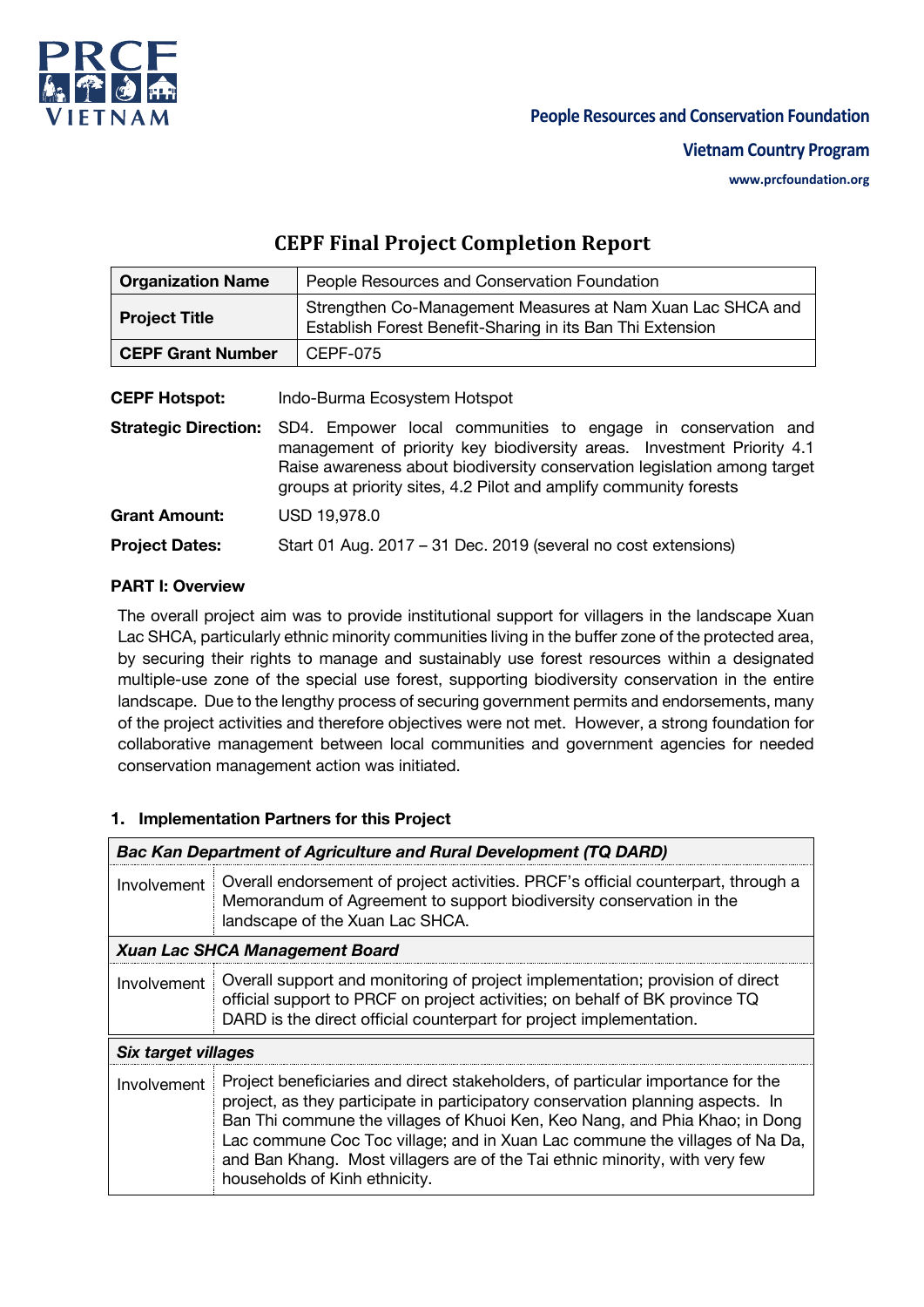

#### **People Resources and Conservation Foundation**

#### **Vietnam Country Program**

**www.prcfoundation.org**

# **CEPF Final Project Completion Report**

| <b>Organization Name</b> | People Resources and Conservation Foundation                                                                            |
|--------------------------|-------------------------------------------------------------------------------------------------------------------------|
| <b>Project Title</b>     | Strengthen Co-Management Measures at Nam Xuan Lac SHCA and<br>Establish Forest Benefit-Sharing in its Ban Thi Extension |
| <b>CEPF Grant Number</b> | CEPF-075                                                                                                                |
|                          |                                                                                                                         |

**CEPF Hotspot:** Indo-Burma Ecosystem Hotspot

**Strategic Direction:** SD4. Empower local communities to engage in conservation and management of priority key biodiversity areas. Investment Priority 4.1 Raise awareness about biodiversity conservation legislation among target groups at priority sites, 4.2 Pilot and amplify community forests **Grant Amount:** USD 19,978.0 **Project Dates:** Start 01 Aug. 2017 – 31 Dec. 2019 (several no cost extensions)

### **PART I: Overview**

The overall project aim was to provide institutional support for villagers in the landscape Xuan Lac SHCA, particularly ethnic minority communities living in the buffer zone of the protected area, by securing their rights to manage and sustainably use forest resources within a designated multiple-use zone of the special use forest, supporting biodiversity conservation in the entire landscape. Due to the lengthy process of securing government permits and endorsements, many of the project activities and therefore objectives were not met. However, a strong foundation for collaborative management between local communities and government agencies for needed conservation management action was initiated.

### **1. Implementation Partners for this Project**

|                     | <b>Bac Kan Department of Agriculture and Rural Development (TQ DARD)</b>                                                                                                                                                                                                                                                                                                                                                                         |
|---------------------|--------------------------------------------------------------------------------------------------------------------------------------------------------------------------------------------------------------------------------------------------------------------------------------------------------------------------------------------------------------------------------------------------------------------------------------------------|
| Involvement         | Overall endorsement of project activities. PRCF's official counterpart, through a<br>Memorandum of Agreement to support biodiversity conservation in the<br>landscape of the Xuan Lac SHCA.                                                                                                                                                                                                                                                      |
|                     | <b>Xuan Lac SHCA Management Board</b>                                                                                                                                                                                                                                                                                                                                                                                                            |
| Involvement         | Overall support and monitoring of project implementation; provision of direct<br>official support to PRCF on project activities; on behalf of BK province TQ<br>DARD is the direct official counterpart for project implementation.                                                                                                                                                                                                              |
| Six target villages |                                                                                                                                                                                                                                                                                                                                                                                                                                                  |
| Involvement         | Project beneficiaries and direct stakeholders, of particular importance for the<br>project, as they participate in participatory conservation planning aspects. In<br>Ban Thi commune the villages of Khuoi Ken, Keo Nang, and Phia Khao; in Dong<br>Lac commune Coc Toc village; and in Xuan Lac commune the villages of Na Da,<br>and Ban Khang. Most villagers are of the Tai ethnic minority, with very few<br>households of Kinh ethnicity. |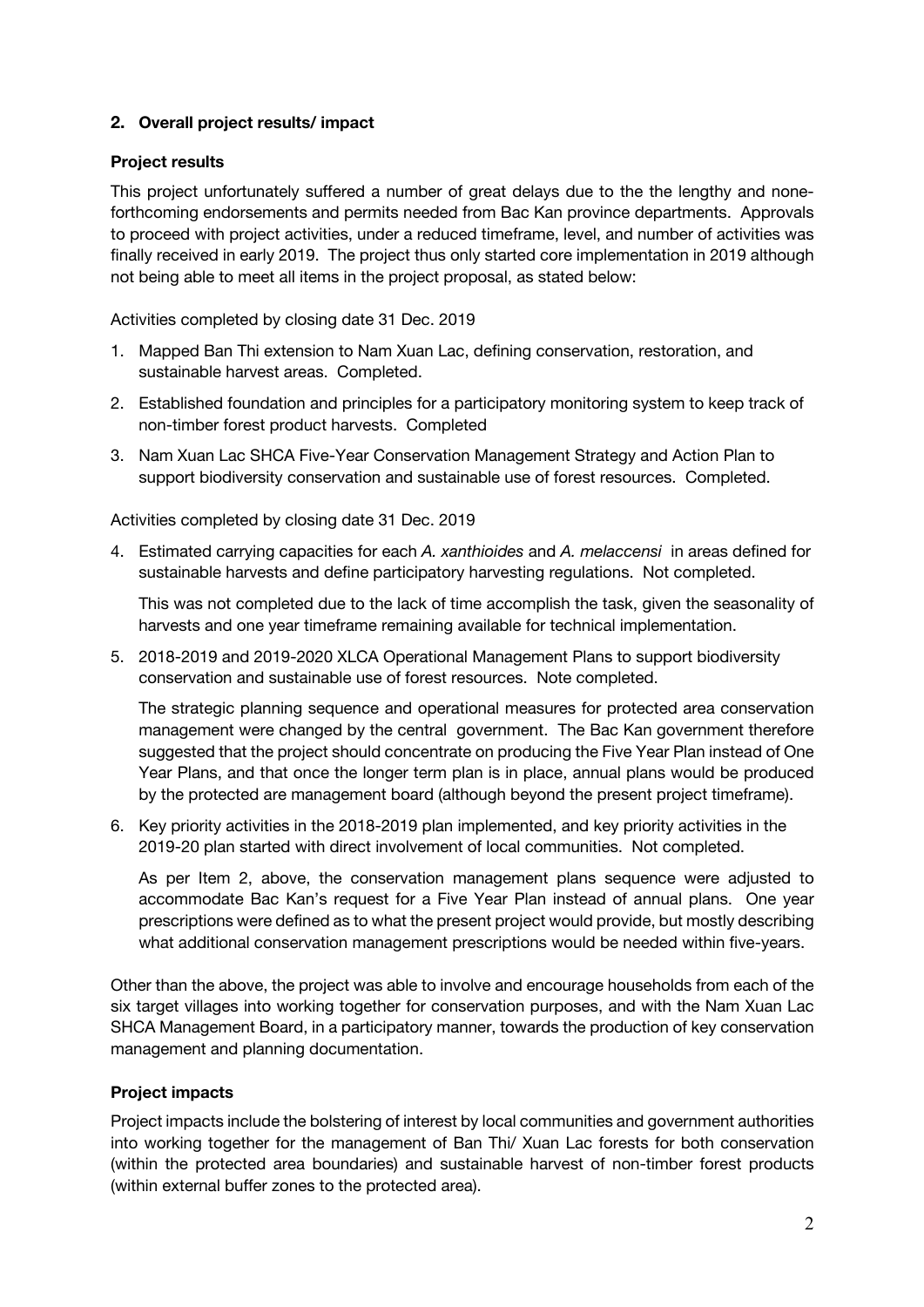#### **2. Overall project results/ impact**

#### **Project results**

This project unfortunately suffered a number of great delays due to the the lengthy and noneforthcoming endorsements and permits needed from Bac Kan province departments. Approvals to proceed with project activities, under a reduced timeframe, level, and number of activities was finally received in early 2019. The project thus only started core implementation in 2019 although not being able to meet all items in the project proposal, as stated below:

Activities completed by closing date 31 Dec. 2019

- 1. Mapped Ban Thi extension to Nam Xuan Lac, defining conservation, restoration, and sustainable harvest areas. Completed.
- 2. Established foundation and principles for a participatory monitoring system to keep track of non-timber forest product harvests. Completed
- 3. Nam Xuan Lac SHCA Five-Year Conservation Management Strategy and Action Plan to support biodiversity conservation and sustainable use of forest resources. Completed.

Activities completed by closing date 31 Dec. 2019

4. Estimated carrying capacities for each *A. xanthioides* and *A. melaccensi* in areas defined for sustainable harvests and define participatory harvesting regulations. Not completed.

This was not completed due to the lack of time accomplish the task, given the seasonality of harvests and one year timeframe remaining available for technical implementation.

5. 2018-2019 and 2019-2020 XLCA Operational Management Plans to support biodiversity conservation and sustainable use of forest resources. Note completed.

The strategic planning sequence and operational measures for protected area conservation management were changed by the central government. The Bac Kan government therefore suggested that the project should concentrate on producing the Five Year Plan instead of One Year Plans, and that once the longer term plan is in place, annual plans would be produced by the protected are management board (although beyond the present project timeframe).

6. Key priority activities in the 2018-2019 plan implemented, and key priority activities in the 2019-20 plan started with direct involvement of local communities. Not completed.

As per Item 2, above, the conservation management plans sequence were adjusted to accommodate Bac Kan's request for a Five Year Plan instead of annual plans. One year prescriptions were defined as to what the present project would provide, but mostly describing what additional conservation management prescriptions would be needed within five-years.

Other than the above, the project was able to involve and encourage households from each of the six target villages into working together for conservation purposes, and with the Nam Xuan Lac SHCA Management Board, in a participatory manner, towards the production of key conservation management and planning documentation.

#### **Project impacts**

Project impacts include the bolstering of interest by local communities and government authorities into working together for the management of Ban Thi/ Xuan Lac forests for both conservation (within the protected area boundaries) and sustainable harvest of non-timber forest products (within external buffer zones to the protected area).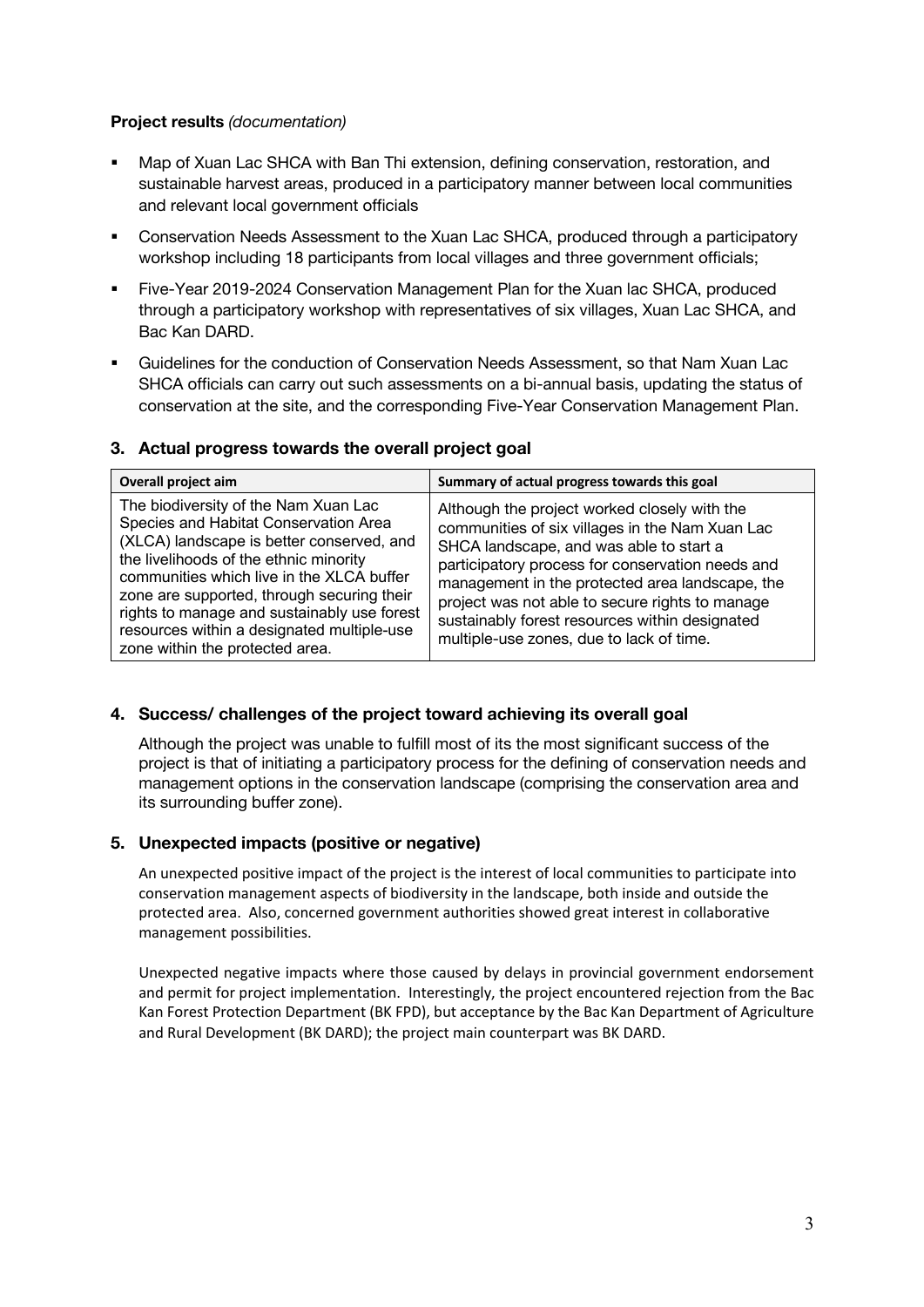#### **Project results** *(documentation)*

- Map of Xuan Lac SHCA with Ban Thi extension, defining conservation, restoration, and sustainable harvest areas, produced in a participatory manner between local communities and relevant local government officials
- Conservation Needs Assessment to the Xuan Lac SHCA, produced through a participatory workshop including 18 participants from local villages and three government officials;
- § Five-Year 2019-2024 Conservation Management Plan for the Xuan lac SHCA, produced through a participatory workshop with representatives of six villages, Xuan Lac SHCA, and Bac Kan DARD.
- § Guidelines for the conduction of Conservation Needs Assessment, so that Nam Xuan Lac SHCA officials can carry out such assessments on a bi-annual basis, updating the status of conservation at the site, and the corresponding Five-Year Conservation Management Plan.

#### **3. Actual progress towards the overall project goal**

| Overall project aim                                                                                                                                                                                                                                                                                                                                                                             | Summary of actual progress towards this goal                                                                                                                                                                                                                                                                                                                                                       |  |
|-------------------------------------------------------------------------------------------------------------------------------------------------------------------------------------------------------------------------------------------------------------------------------------------------------------------------------------------------------------------------------------------------|----------------------------------------------------------------------------------------------------------------------------------------------------------------------------------------------------------------------------------------------------------------------------------------------------------------------------------------------------------------------------------------------------|--|
| The biodiversity of the Nam Xuan Lac<br>Species and Habitat Conservation Area<br>(XLCA) landscape is better conserved, and<br>the livelihoods of the ethnic minority<br>communities which live in the XLCA buffer<br>zone are supported, through securing their<br>rights to manage and sustainably use forest<br>resources within a designated multiple-use<br>zone within the protected area. | Although the project worked closely with the<br>communities of six villages in the Nam Xuan Lac<br>SHCA landscape, and was able to start a<br>participatory process for conservation needs and<br>management in the protected area landscape, the<br>project was not able to secure rights to manage<br>sustainably forest resources within designated<br>multiple-use zones, due to lack of time. |  |

### **4. Success/ challenges of the project toward achieving its overall goal**

Although the project was unable to fulfill most of its the most significant success of the project is that of initiating a participatory process for the defining of conservation needs and management options in the conservation landscape (comprising the conservation area and its surrounding buffer zone).

### **5. Unexpected impacts (positive or negative)**

An unexpected positive impact of the project is the interest of local communities to participate into conservation management aspects of biodiversity in the landscape, both inside and outside the protected area. Also, concerned government authorities showed great interest in collaborative management possibilities.

Unexpected negative impacts where those caused by delays in provincial government endorsement and permit for project implementation. Interestingly, the project encountered rejection from the Bac Kan Forest Protection Department (BK FPD), but acceptance by the Bac Kan Department of Agriculture and Rural Development (BK DARD); the project main counterpart was BK DARD.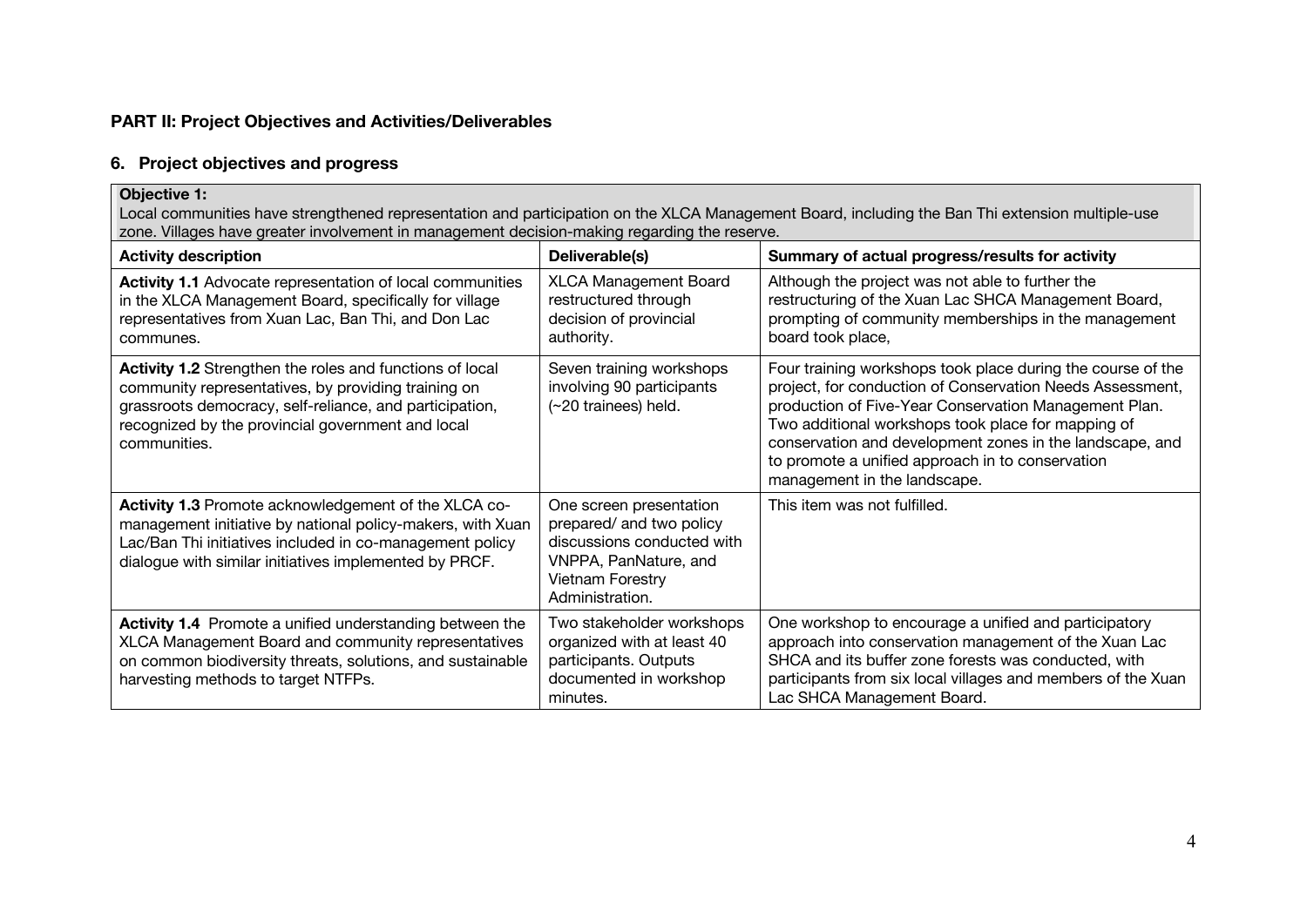### **PART II: Project Objectives and Activities/Deliverables**

#### **6. Project objectives and progress**

#### **Objective 1:**  Local communities have strengthened representation and participation on the XLCA Management Board, including the Ban Thi extension multiple-use zone. Villages have greater involvement in management decision-making regarding the reserve.

| <b>Activity description</b>                                                                                                                                                                                                                     | Deliverable(s)                                                                                                                                           | Summary of actual progress/results for activity                                                                                                                                                                                                                                                                                                                                         |
|-------------------------------------------------------------------------------------------------------------------------------------------------------------------------------------------------------------------------------------------------|----------------------------------------------------------------------------------------------------------------------------------------------------------|-----------------------------------------------------------------------------------------------------------------------------------------------------------------------------------------------------------------------------------------------------------------------------------------------------------------------------------------------------------------------------------------|
| <b>Activity 1.1</b> Advocate representation of local communities<br>in the XLCA Management Board, specifically for village<br>representatives from Xuan Lac, Ban Thi, and Don Lac<br>communes.                                                  | <b>XLCA Management Board</b><br>restructured through<br>decision of provincial<br>authority.                                                             | Although the project was not able to further the<br>restructuring of the Xuan Lac SHCA Management Board,<br>prompting of community memberships in the management<br>board took place,                                                                                                                                                                                                   |
| Activity 1.2 Strengthen the roles and functions of local<br>community representatives, by providing training on<br>grassroots democracy, self-reliance, and participation,<br>recognized by the provincial government and local<br>communities. | Seven training workshops<br>involving 90 participants<br>(~20 trainees) held.                                                                            | Four training workshops took place during the course of the<br>project, for conduction of Conservation Needs Assessment,<br>production of Five-Year Conservation Management Plan.<br>Two additional workshops took place for mapping of<br>conservation and development zones in the landscape, and<br>to promote a unified approach in to conservation<br>management in the landscape. |
| Activity 1.3 Promote acknowledgement of the XLCA co-<br>management initiative by national policy-makers, with Xuan<br>Lac/Ban Thi initiatives included in co-management policy<br>dialogue with similar initiatives implemented by PRCF.        | One screen presentation<br>prepared/ and two policy<br>discussions conducted with<br>VNPPA, PanNature, and<br><b>Vietnam Forestry</b><br>Administration. | This item was not fulfilled.                                                                                                                                                                                                                                                                                                                                                            |
| <b>Activity 1.4</b> Promote a unified understanding between the<br>XLCA Management Board and community representatives<br>on common biodiversity threats, solutions, and sustainable<br>harvesting methods to target NTFPs.                     | Two stakeholder workshops<br>organized with at least 40<br>participants. Outputs<br>documented in workshop<br>minutes.                                   | One workshop to encourage a unified and participatory<br>approach into conservation management of the Xuan Lac<br>SHCA and its buffer zone forests was conducted, with<br>participants from six local villages and members of the Xuan<br>Lac SHCA Management Board.                                                                                                                    |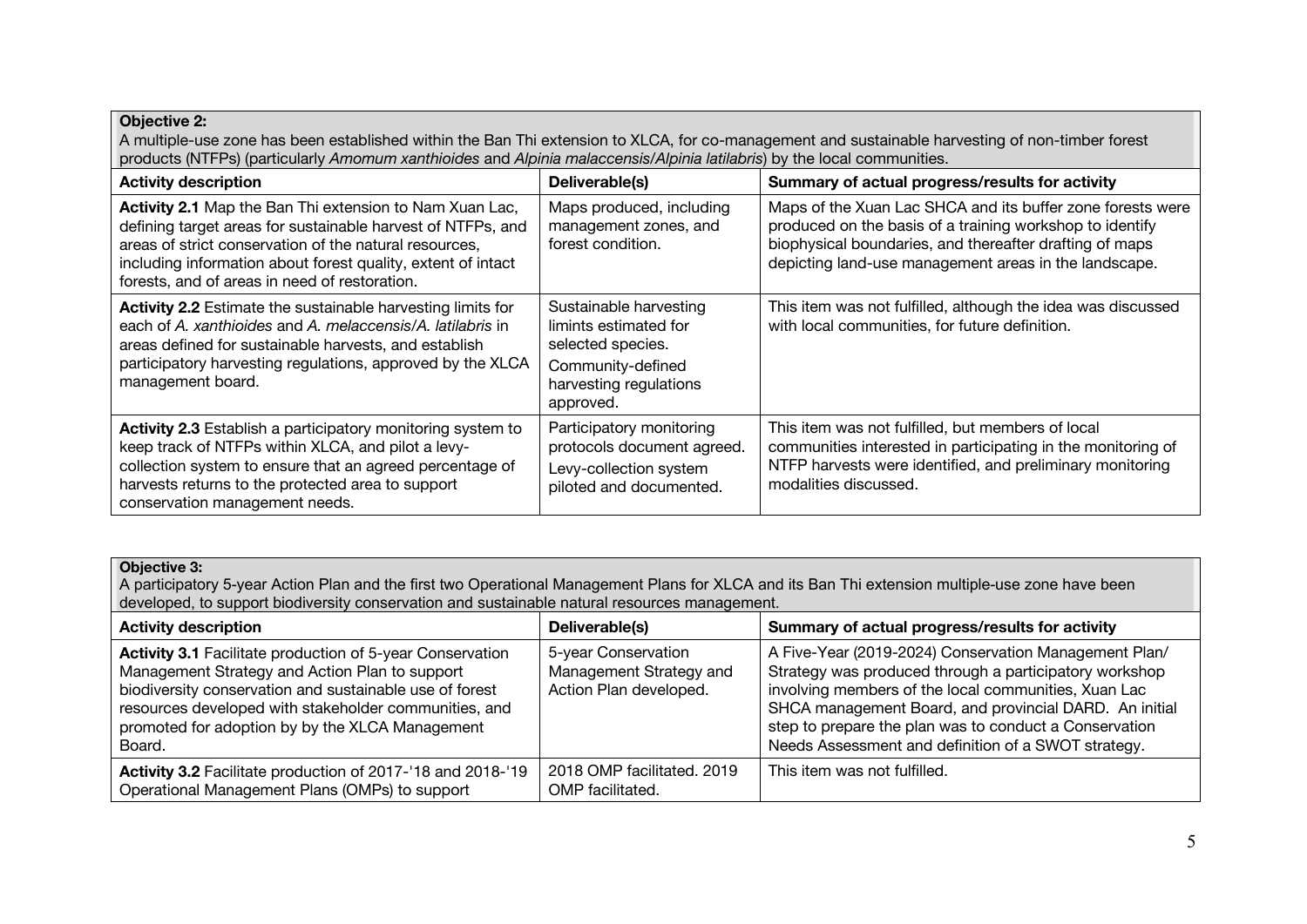#### **Objective 2:**

A multiple-use zone has been established within the Ban Thi extension to XLCA, for co-management and sustainable harvesting of non-timber forest products (NTFPs) (particularly *Amomum xanthioides* and *Alpinia malaccensis*/*Alpinia latilabris*) by the local communities.

| <b>Activity description</b>                                                                                                                                                                                                                                                                       | Deliverable(s)                                                                                                                   | Summary of actual progress/results for activity                                                                                                                                                                                            |
|---------------------------------------------------------------------------------------------------------------------------------------------------------------------------------------------------------------------------------------------------------------------------------------------------|----------------------------------------------------------------------------------------------------------------------------------|--------------------------------------------------------------------------------------------------------------------------------------------------------------------------------------------------------------------------------------------|
| Activity 2.1 Map the Ban Thi extension to Nam Xuan Lac,<br>defining target areas for sustainable harvest of NTFPs, and<br>areas of strict conservation of the natural resources,<br>including information about forest quality, extent of intact<br>forests, and of areas in need of restoration. | Maps produced, including<br>management zones, and<br>forest condition.                                                           | Maps of the Xuan Lac SHCA and its buffer zone forests were<br>produced on the basis of a training workshop to identify<br>biophysical boundaries, and thereafter drafting of maps<br>depicting land-use management areas in the landscape. |
| Activity 2.2 Estimate the sustainable harvesting limits for<br>each of A, xanthioides and A, melaccensis/A, latilabris in<br>areas defined for sustainable harvests, and establish<br>participatory harvesting regulations, approved by the XLCA<br>management board.                             | Sustainable harvesting<br>limints estimated for<br>selected species.<br>Community-defined<br>harvesting regulations<br>approved. | This item was not fulfilled, although the idea was discussed<br>with local communities, for future definition.                                                                                                                             |
| <b>Activity 2.3</b> Establish a participatory monitoring system to<br>keep track of NTFPs within XLCA, and pilot a levy-<br>collection system to ensure that an agreed percentage of<br>harvests returns to the protected area to support<br>conservation management needs.                       | Participatory monitoring<br>protocols document agreed.<br>Levy-collection system<br>piloted and documented.                      | This item was not fulfilled, but members of local<br>communities interested in participating in the monitoring of<br>NTFP harvests were identified, and preliminary monitoring<br>modalities discussed.                                    |

#### **Objective 3:**

A participatory 5-year Action Plan and the first two Operational Management Plans for XLCA and its Ban Thi extension multiple-use zone have been developed, to support biodiversity conservation and sustainable natural resources management.

| <b>Activity description</b>                                                                                                                                                                                                                                                                  | Deliverable(s)                                                           | Summary of actual progress/results for activity                                                                                                                                                                                                                                                                                                    |
|----------------------------------------------------------------------------------------------------------------------------------------------------------------------------------------------------------------------------------------------------------------------------------------------|--------------------------------------------------------------------------|----------------------------------------------------------------------------------------------------------------------------------------------------------------------------------------------------------------------------------------------------------------------------------------------------------------------------------------------------|
| Activity 3.1 Facilitate production of 5-year Conservation<br>Management Strategy and Action Plan to support<br>biodiversity conservation and sustainable use of forest<br>resources developed with stakeholder communities, and<br>promoted for adoption by by the XLCA Management<br>Board. | 5-year Conservation<br>Management Strategy and<br>Action Plan developed. | A Five-Year (2019-2024) Conservation Management Plan/<br>Strategy was produced through a participatory workshop<br>involving members of the local communities, Xuan Lac<br>SHCA management Board, and provincial DARD. An initial<br>step to prepare the plan was to conduct a Conservation<br>Needs Assessment and definition of a SWOT strategy. |
| Activity 3.2 Facilitate production of 2017-18 and 2018-19<br>Operational Management Plans (OMPs) to support                                                                                                                                                                                  | 2018 OMP facilitated, 2019<br>OMP facilitated.                           | This item was not fulfilled.                                                                                                                                                                                                                                                                                                                       |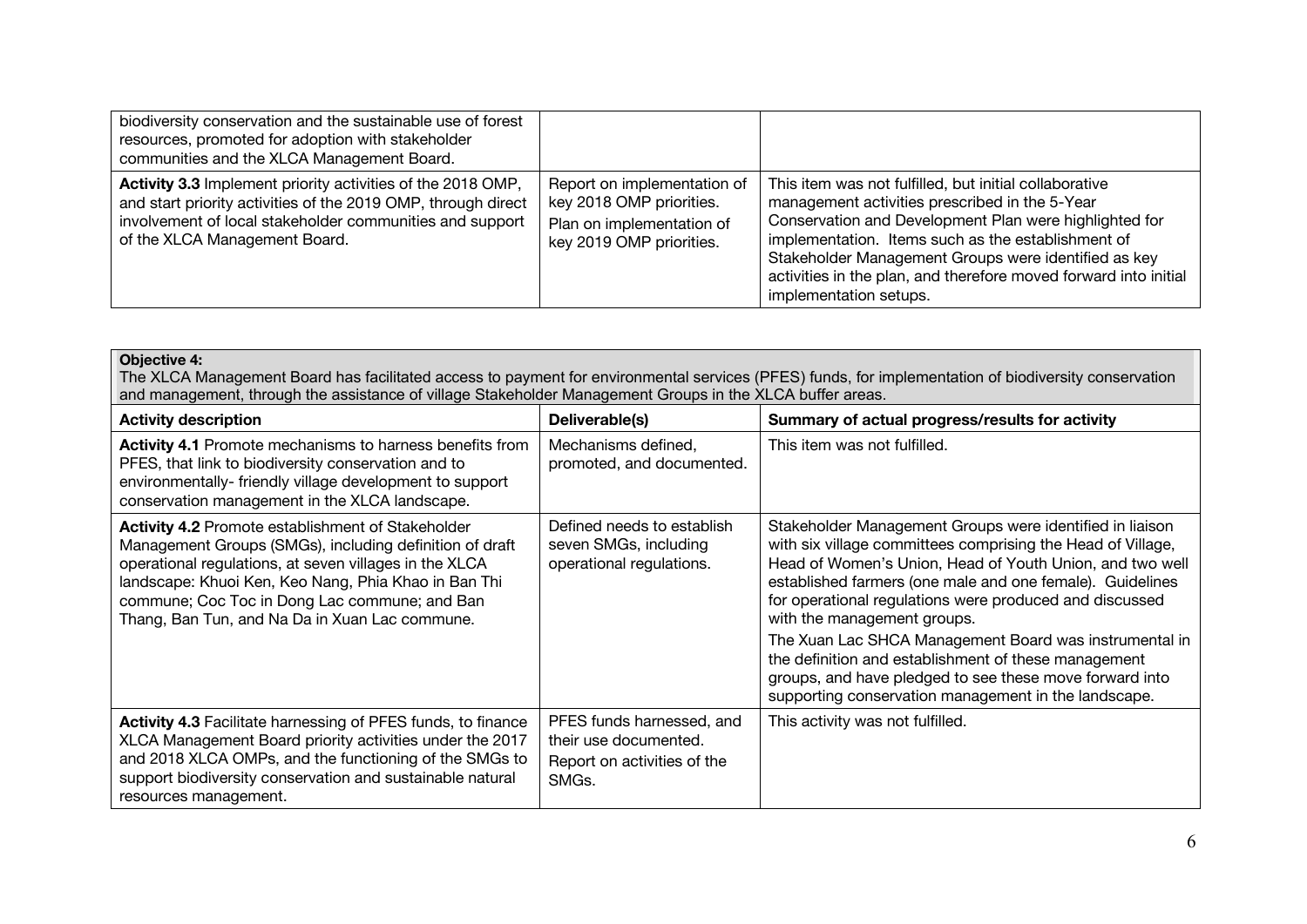| biodiversity conservation and the sustainable use of forest<br>resources, promoted for adoption with stakeholder<br>communities and the XLCA Management Board.                                                            |                                                                                                                  |                                                                                                                                                                                                                                                                                                                                                                                |
|---------------------------------------------------------------------------------------------------------------------------------------------------------------------------------------------------------------------------|------------------------------------------------------------------------------------------------------------------|--------------------------------------------------------------------------------------------------------------------------------------------------------------------------------------------------------------------------------------------------------------------------------------------------------------------------------------------------------------------------------|
| Activity 3.3 Implement priority activities of the 2018 OMP,<br>and start priority activities of the 2019 OMP, through direct<br>involvement of local stakeholder communities and support<br>of the XLCA Management Board. | Report on implementation of<br>key 2018 OMP priorities.<br>Plan on implementation of<br>key 2019 OMP priorities. | This item was not fulfilled, but initial collaborative<br>management activities prescribed in the 5-Year<br>Conservation and Development Plan were highlighted for<br>implementation. Items such as the establishment of<br>Stakeholder Management Groups were identified as key<br>activities in the plan, and therefore moved forward into initial<br>implementation setups. |

#### **Objective 4:**

The XLCA Management Board has facilitated access to payment for environmental services (PFES) funds, for implementation of biodiversity conservation and management, through the assistance of village Stakeholder Management Groups in the XLCA buffer areas.

| <b>Activity description</b>                                                                                                                                                                                                                                                                                                              | Deliverable(s)                                                                                        | Summary of actual progress/results for activity                                                                                                                                                                                                                                                                                                                                                                                                                                                                                                                                 |
|------------------------------------------------------------------------------------------------------------------------------------------------------------------------------------------------------------------------------------------------------------------------------------------------------------------------------------------|-------------------------------------------------------------------------------------------------------|---------------------------------------------------------------------------------------------------------------------------------------------------------------------------------------------------------------------------------------------------------------------------------------------------------------------------------------------------------------------------------------------------------------------------------------------------------------------------------------------------------------------------------------------------------------------------------|
| <b>Activity 4.1</b> Promote mechanisms to harness benefits from<br>PFES, that link to biodiversity conservation and to<br>environmentally-friendly village development to support<br>conservation management in the XLCA landscape.                                                                                                      | Mechanisms defined,<br>promoted, and documented.                                                      | This item was not fulfilled.                                                                                                                                                                                                                                                                                                                                                                                                                                                                                                                                                    |
| <b>Activity 4.2 Promote establishment of Stakeholder</b><br>Management Groups (SMGs), including definition of draft<br>operational regulations, at seven villages in the XLCA<br>landscape: Khuoi Ken, Keo Nang, Phia Khao in Ban Thi<br>commune; Coc Toc in Dong Lac commune; and Ban<br>Thang, Ban Tun, and Na Da in Xuan Lac commune. | Defined needs to establish<br>seven SMGs, including<br>operational regulations.                       | Stakeholder Management Groups were identified in liaison<br>with six village committees comprising the Head of Village,<br>Head of Women's Union, Head of Youth Union, and two well<br>established farmers (one male and one female). Guidelines<br>for operational regulations were produced and discussed<br>with the management groups.<br>The Xuan Lac SHCA Management Board was instrumental in<br>the definition and establishment of these management<br>groups, and have pledged to see these move forward into<br>supporting conservation management in the landscape. |
| <b>Activity 4.3 Facilitate harnessing of PFES funds, to finance</b><br>XLCA Management Board priority activities under the 2017<br>and 2018 XLCA OMPs, and the functioning of the SMGs to<br>support biodiversity conservation and sustainable natural<br>resources management.                                                          | PFES funds harnessed, and<br>their use documented.<br>Report on activities of the<br>SMG <sub>s</sub> | This activity was not fulfilled.                                                                                                                                                                                                                                                                                                                                                                                                                                                                                                                                                |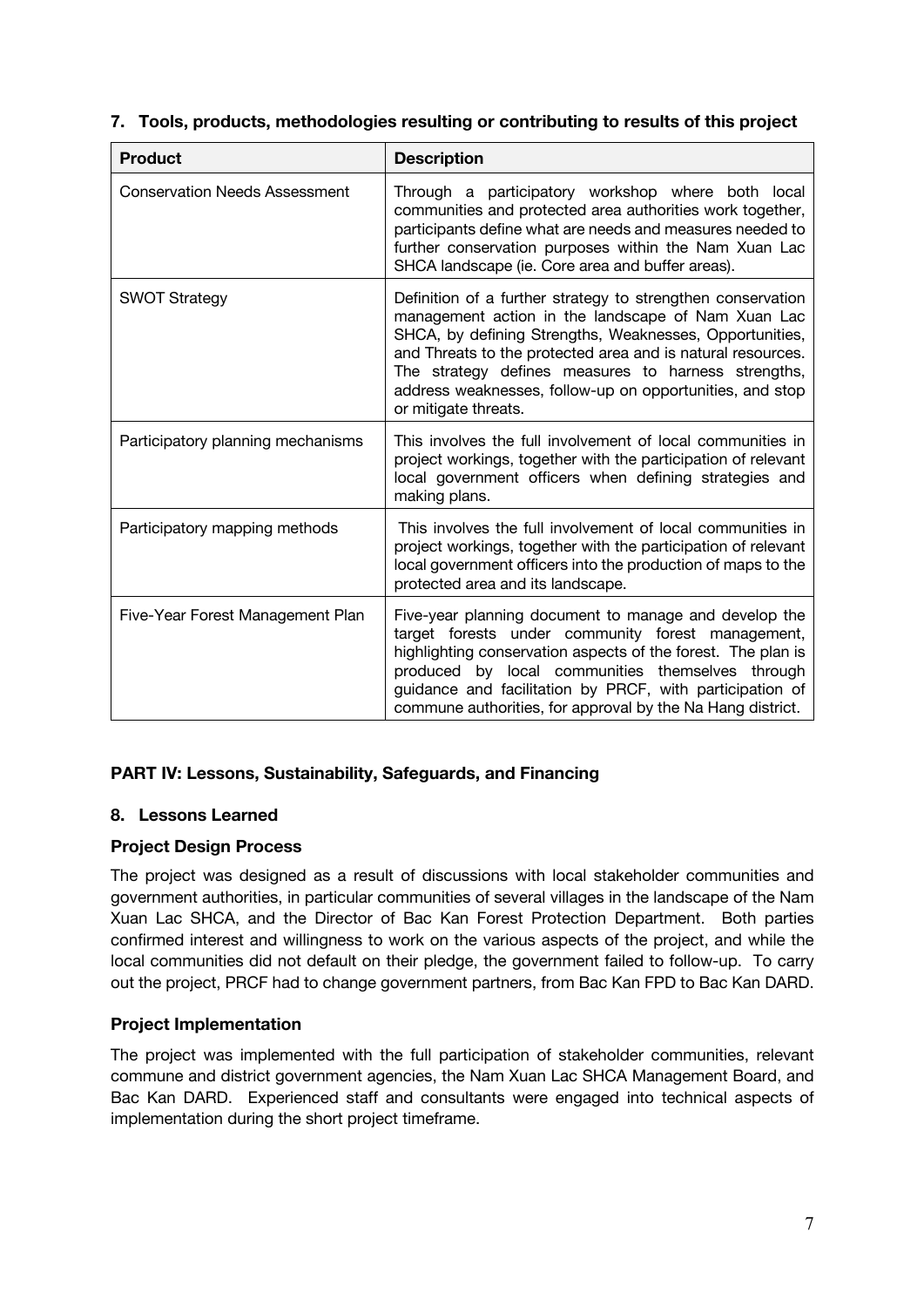| <b>Product</b>                       | <b>Description</b>                                                                                                                                                                                                                                                                                                                                                                     |  |
|--------------------------------------|----------------------------------------------------------------------------------------------------------------------------------------------------------------------------------------------------------------------------------------------------------------------------------------------------------------------------------------------------------------------------------------|--|
| <b>Conservation Needs Assessment</b> | Through a participatory workshop where both local<br>communities and protected area authorities work together,<br>participants define what are needs and measures needed to<br>further conservation purposes within the Nam Xuan Lac<br>SHCA landscape (ie. Core area and buffer areas).                                                                                               |  |
| <b>SWOT Strategy</b>                 | Definition of a further strategy to strengthen conservation<br>management action in the landscape of Nam Xuan Lac<br>SHCA, by defining Strengths, Weaknesses, Opportunities,<br>and Threats to the protected area and is natural resources.<br>The strategy defines measures to harness strengths,<br>address weaknesses, follow-up on opportunities, and stop<br>or mitigate threats. |  |
| Participatory planning mechanisms    | This involves the full involvement of local communities in<br>project workings, together with the participation of relevant<br>local government officers when defining strategies and<br>making plans.                                                                                                                                                                                 |  |
| Participatory mapping methods        | This involves the full involvement of local communities in<br>project workings, together with the participation of relevant<br>local government officers into the production of maps to the<br>protected area and its landscape.                                                                                                                                                       |  |
| Five-Year Forest Management Plan     | Five-year planning document to manage and develop the<br>target forests under community forest management,<br>highlighting conservation aspects of the forest. The plan is<br>produced by local communities themselves through<br>guidance and facilitation by PRCF, with participation of<br>commune authorities, for approval by the Na Hang district.                               |  |

### **7. Tools, products, methodologies resulting or contributing to results of this project**

#### **PART IV: Lessons, Sustainability, Safeguards, and Financing**

#### **8. Lessons Learned**

#### **Project Design Process**

The project was designed as a result of discussions with local stakeholder communities and government authorities, in particular communities of several villages in the landscape of the Nam Xuan Lac SHCA, and the Director of Bac Kan Forest Protection Department. Both parties confirmed interest and willingness to work on the various aspects of the project, and while the local communities did not default on their pledge, the government failed to follow-up. To carry out the project, PRCF had to change government partners, from Bac Kan FPD to Bac Kan DARD.

#### **Project Implementation**

The project was implemented with the full participation of stakeholder communities, relevant commune and district government agencies, the Nam Xuan Lac SHCA Management Board, and Bac Kan DARD. Experienced staff and consultants were engaged into technical aspects of implementation during the short project timeframe.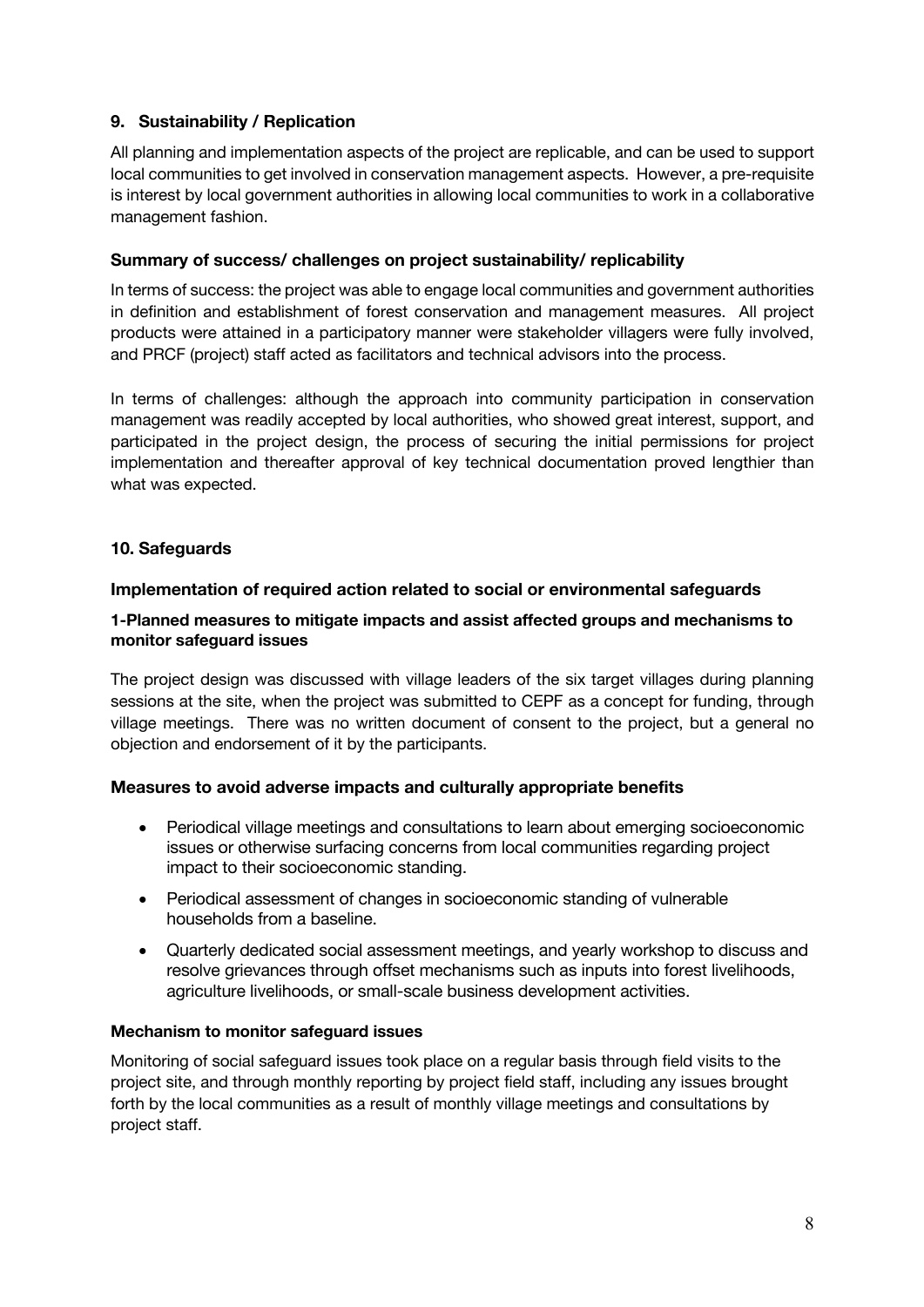### **9. Sustainability / Replication**

All planning and implementation aspects of the project are replicable, and can be used to support local communities to get involved in conservation management aspects. However, a pre-requisite is interest by local government authorities in allowing local communities to work in a collaborative management fashion.

#### **Summary of success/ challenges on project sustainability/ replicability**

In terms of success: the project was able to engage local communities and government authorities in definition and establishment of forest conservation and management measures. All project products were attained in a participatory manner were stakeholder villagers were fully involved, and PRCF (project) staff acted as facilitators and technical advisors into the process.

In terms of challenges: although the approach into community participation in conservation management was readily accepted by local authorities, who showed great interest, support, and participated in the project design, the process of securing the initial permissions for project implementation and thereafter approval of key technical documentation proved lengthier than what was expected.

#### **10. Safeguards**

#### **Implementation of required action related to social or environmental safeguards**

#### **1-Planned measures to mitigate impacts and assist affected groups and mechanisms to monitor safeguard issues**

The project design was discussed with village leaders of the six target villages during planning sessions at the site, when the project was submitted to CEPF as a concept for funding, through village meetings. There was no written document of consent to the project, but a general no objection and endorsement of it by the participants.

#### **Measures to avoid adverse impacts and culturally appropriate benefits**

- Periodical village meetings and consultations to learn about emerging socioeconomic issues or otherwise surfacing concerns from local communities regarding project impact to their socioeconomic standing.
- Periodical assessment of changes in socioeconomic standing of vulnerable households from a baseline.
- Quarterly dedicated social assessment meetings, and yearly workshop to discuss and resolve grievances through offset mechanisms such as inputs into forest livelihoods, agriculture livelihoods, or small-scale business development activities.

#### **Mechanism to monitor safeguard issues**

Monitoring of social safeguard issues took place on a regular basis through field visits to the project site, and through monthly reporting by project field staff, including any issues brought forth by the local communities as a result of monthly village meetings and consultations by project staff.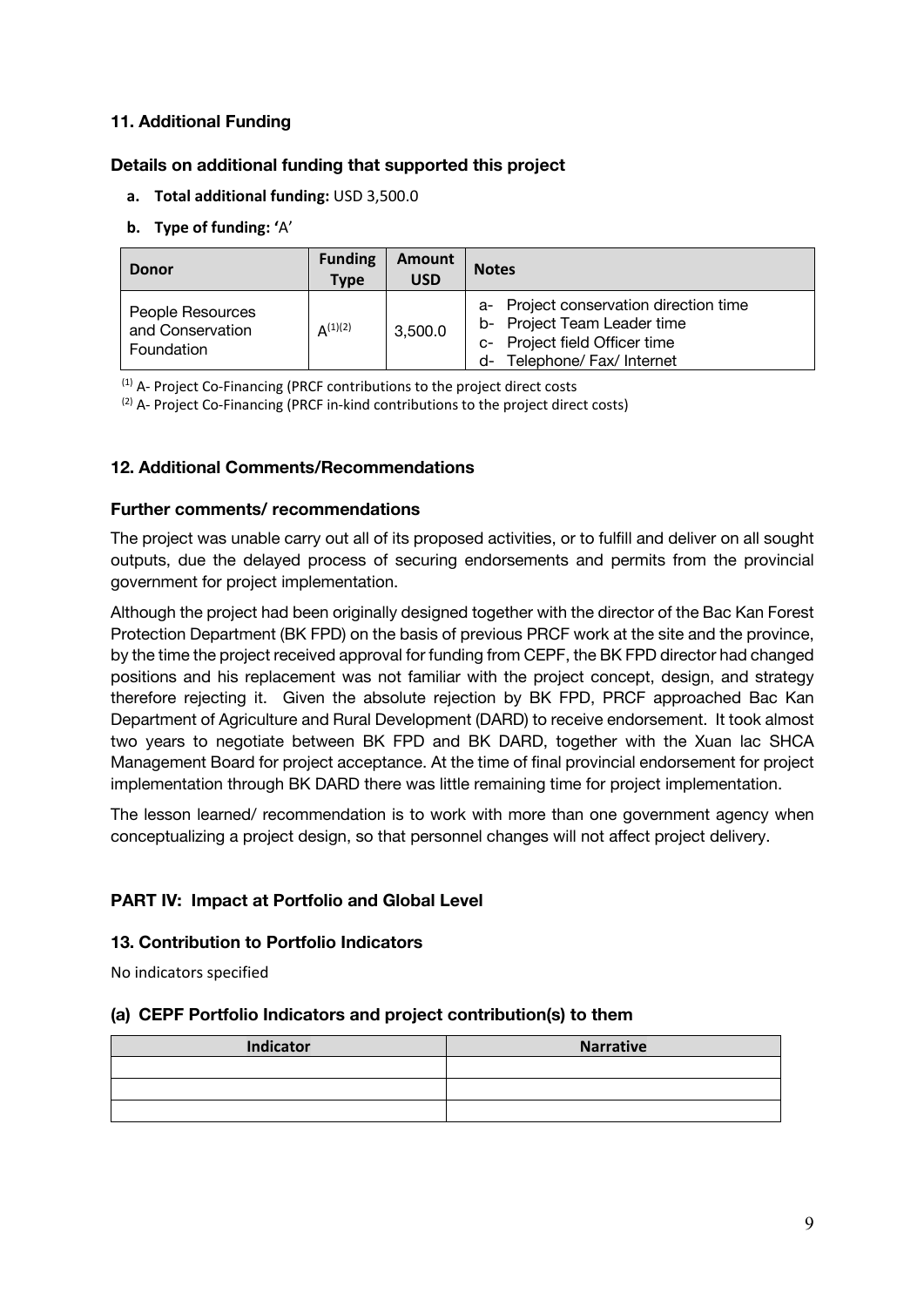#### **11. Additional Funding**

#### **Details on additional funding that supported this project**

**a. Total additional funding:** USD 3,500.0

#### **b. Type of funding: '**A'

| <b>Donor</b>                                       | <b>Funding</b><br><b>Type</b> | Amount<br><b>USD</b> | <b>Notes</b>                                                                                                                             |  |
|----------------------------------------------------|-------------------------------|----------------------|------------------------------------------------------------------------------------------------------------------------------------------|--|
| People Resources<br>and Conservation<br>Foundation | $A^{(1)(2)}$                  | 3,500.0              | a- Project conservation direction time<br>b- Project Team Leader time<br>c- Project field Officer time<br>Telephone/ Fax/ Internet<br>d- |  |

 $(1)$  A- Project Co-Financing (PRCF contributions to the project direct costs

(2) A- Project Co-Financing (PRCF in-kind contributions to the project direct costs)

#### **12. Additional Comments/Recommendations**

#### **Further comments/ recommendations**

The project was unable carry out all of its proposed activities, or to fulfill and deliver on all sought outputs, due the delayed process of securing endorsements and permits from the provincial government for project implementation.

Although the project had been originally designed together with the director of the Bac Kan Forest Protection Department (BK FPD) on the basis of previous PRCF work at the site and the province, by the time the project received approval for funding from CEPF, the BK FPD director had changed positions and his replacement was not familiar with the project concept, design, and strategy therefore rejecting it. Given the absolute rejection by BK FPD, PRCF approached Bac Kan Department of Agriculture and Rural Development (DARD) to receive endorsement. It took almost two years to negotiate between BK FPD and BK DARD, together with the Xuan lac SHCA Management Board for project acceptance. At the time of final provincial endorsement for project implementation through BK DARD there was little remaining time for project implementation.

The lesson learned/ recommendation is to work with more than one government agency when conceptualizing a project design, so that personnel changes will not affect project delivery.

### **PART IV: Impact at Portfolio and Global Level**

#### **13. Contribution to Portfolio Indicators**

No indicators specified

#### **(a) CEPF Portfolio Indicators and project contribution(s) to them**

| Indicator | <b>Narrative</b> |
|-----------|------------------|
|           |                  |
|           |                  |
|           |                  |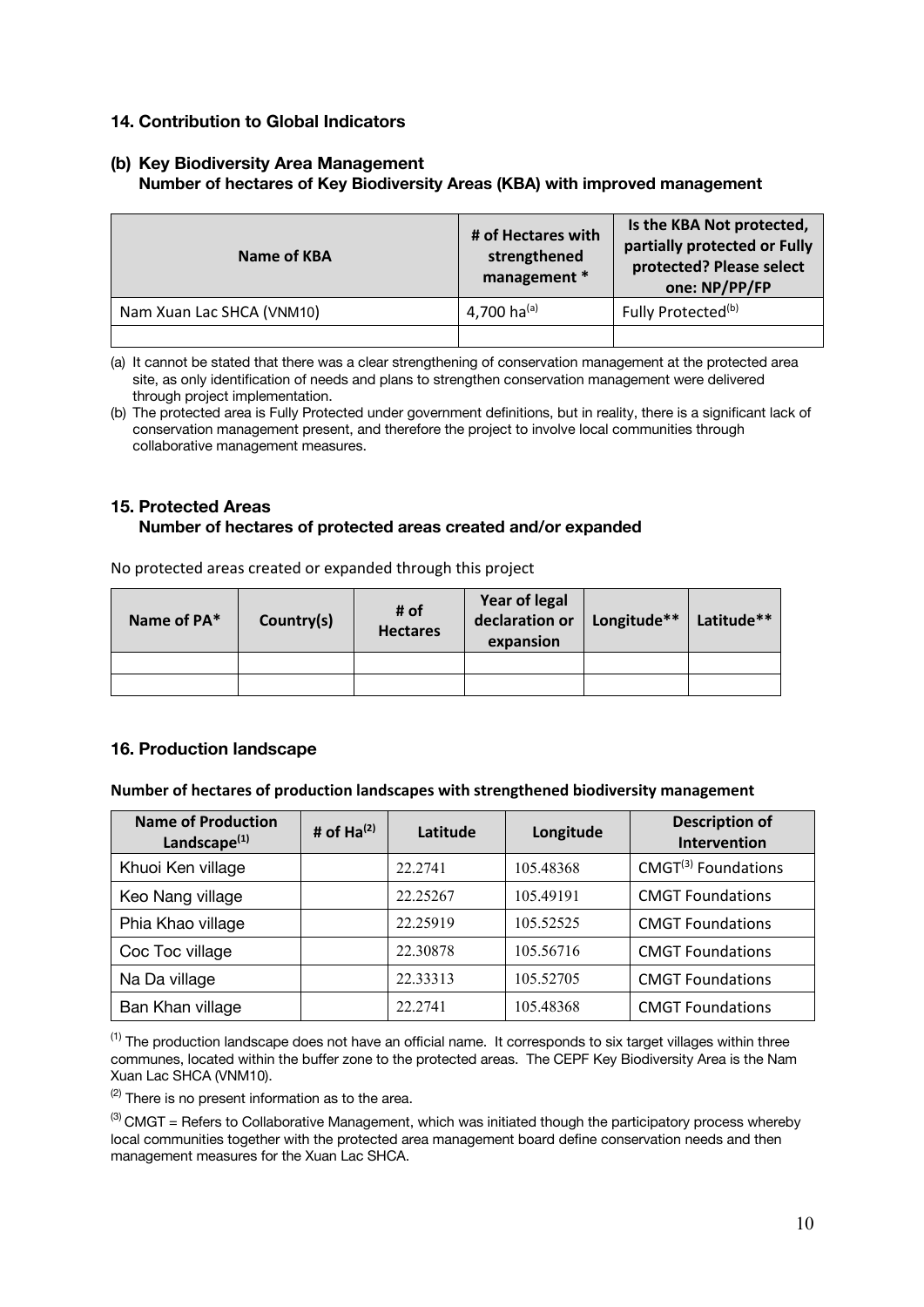#### **14. Contribution to Global Indicators**

#### **(b) Key Biodiversity Area Management Number of hectares of Key Biodiversity Areas (KBA) with improved management**

| Name of KBA               | # of Hectares with<br>strengthened<br>management * | Is the KBA Not protected,<br>partially protected or Fully<br>protected? Please select<br>one: NP/PP/FP |
|---------------------------|----------------------------------------------------|--------------------------------------------------------------------------------------------------------|
| Nam Xuan Lac SHCA (VNM10) | 4,700 ha(a)                                        | Fully Protected <sup>(b)</sup>                                                                         |
|                           |                                                    |                                                                                                        |

(a) It cannot be stated that there was a clear strengthening of conservation management at the protected area site, as only identification of needs and plans to strengthen conservation management were delivered through project implementation.

(b) The protected area is Fully Protected under government definitions, but in reality, there is a significant lack of conservation management present, and therefore the project to involve local communities through collaborative management measures.

#### **15. Protected Areas Number of hectares of protected areas created and/or expanded**

| Name of PA* | Country(s) | # of<br><b>Hectares</b> | Year of legal<br>declaration or<br>expansion | Longitude** | Latitude** |  |
|-------------|------------|-------------------------|----------------------------------------------|-------------|------------|--|
|             |            |                         |                                              |             |            |  |
|             |            |                         |                                              |             |            |  |

No protected areas created or expanded through this project

#### **16. Production landscape**

#### **Number of hectares of production landscapes with strengthened biodiversity management**

| <b>Name of Production</b><br>Landscape $(1)$ | # of $Ha^{(2)}$ | Latitude | Longitude | <b>Description of</b><br><b>Intervention</b> |
|----------------------------------------------|-----------------|----------|-----------|----------------------------------------------|
| Khuoi Ken village                            |                 | 22.2741  | 105.48368 | $CMGT^{(3)}$ Foundations                     |
| Keo Nang village                             |                 | 22.25267 | 105.49191 | <b>CMGT Foundations</b>                      |
| Phia Khao village                            |                 | 22.25919 | 105.52525 | <b>CMGT Foundations</b>                      |
| Coc Toc village                              |                 | 22.30878 | 105.56716 | <b>CMGT Foundations</b>                      |
| Na Da village                                |                 | 22.33313 | 105.52705 | <b>CMGT Foundations</b>                      |
| Ban Khan village                             |                 | 22.2741  | 105.48368 | <b>CMGT Foundations</b>                      |

 $<sup>(1)</sup>$  The production landscape does not have an official name. It corresponds to six target villages within three</sup> communes, located within the buffer zone to the protected areas. The CEPF Key Biodiversity Area is the Nam Xuan Lac SHCA (VNM10).

 $(2)$  There is no present information as to the area.

 $^{(3)}$  CMGT = Refers to Collaborative Management, which was initiated though the participatory process whereby local communities together with the protected area management board define conservation needs and then management measures for the Xuan Lac SHCA.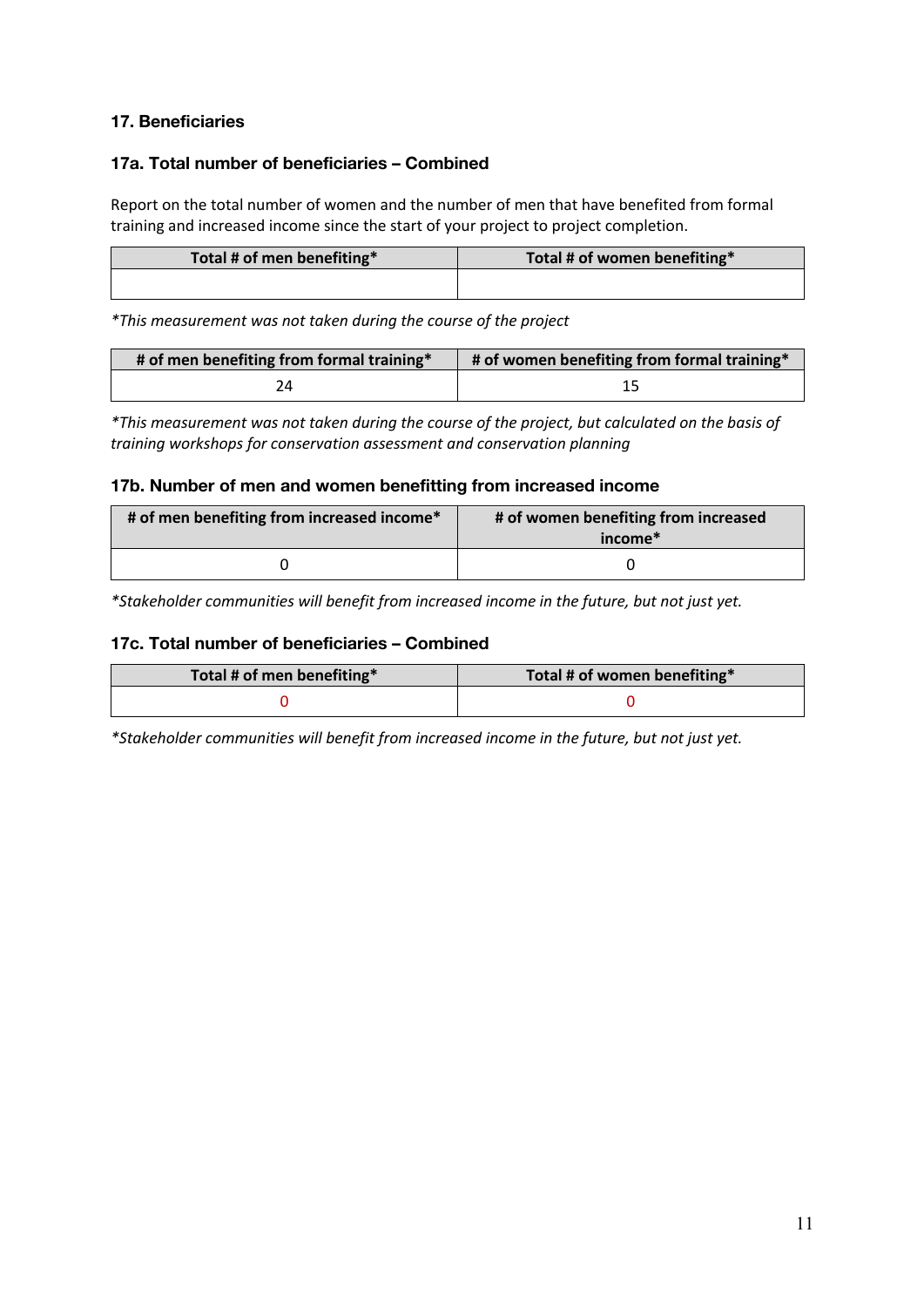### **17. Beneficiaries**

#### **17a. Total number of beneficiaries – Combined**

Report on the total number of women and the number of men that have benefited from formal training and increased income since the start of your project to project completion.

| Total # of men benefiting* | Total # of women benefiting* |
|----------------------------|------------------------------|
|                            |                              |

*\*This measurement was not taken during the course of the project*

| # of men benefiting from formal training* | # of women benefiting from formal training* |
|-------------------------------------------|---------------------------------------------|
|                                           |                                             |

*\*This measurement was not taken during the course of the project, but calculated on the basis of training workshops for conservation assessment and conservation planning*

#### **17b. Number of men and women benefitting from increased income**

| # of men benefiting from increased income* | # of women benefiting from increased<br>income <sup>*</sup> |
|--------------------------------------------|-------------------------------------------------------------|
|                                            |                                                             |

*\*Stakeholder communities will benefit from increased income in the future, but not just yet.*

#### **17c. Total number of beneficiaries – Combined**

| Total # of men benefiting* | Total # of women benefiting* |
|----------------------------|------------------------------|
|                            |                              |

*\*Stakeholder communities will benefit from increased income in the future, but not just yet.*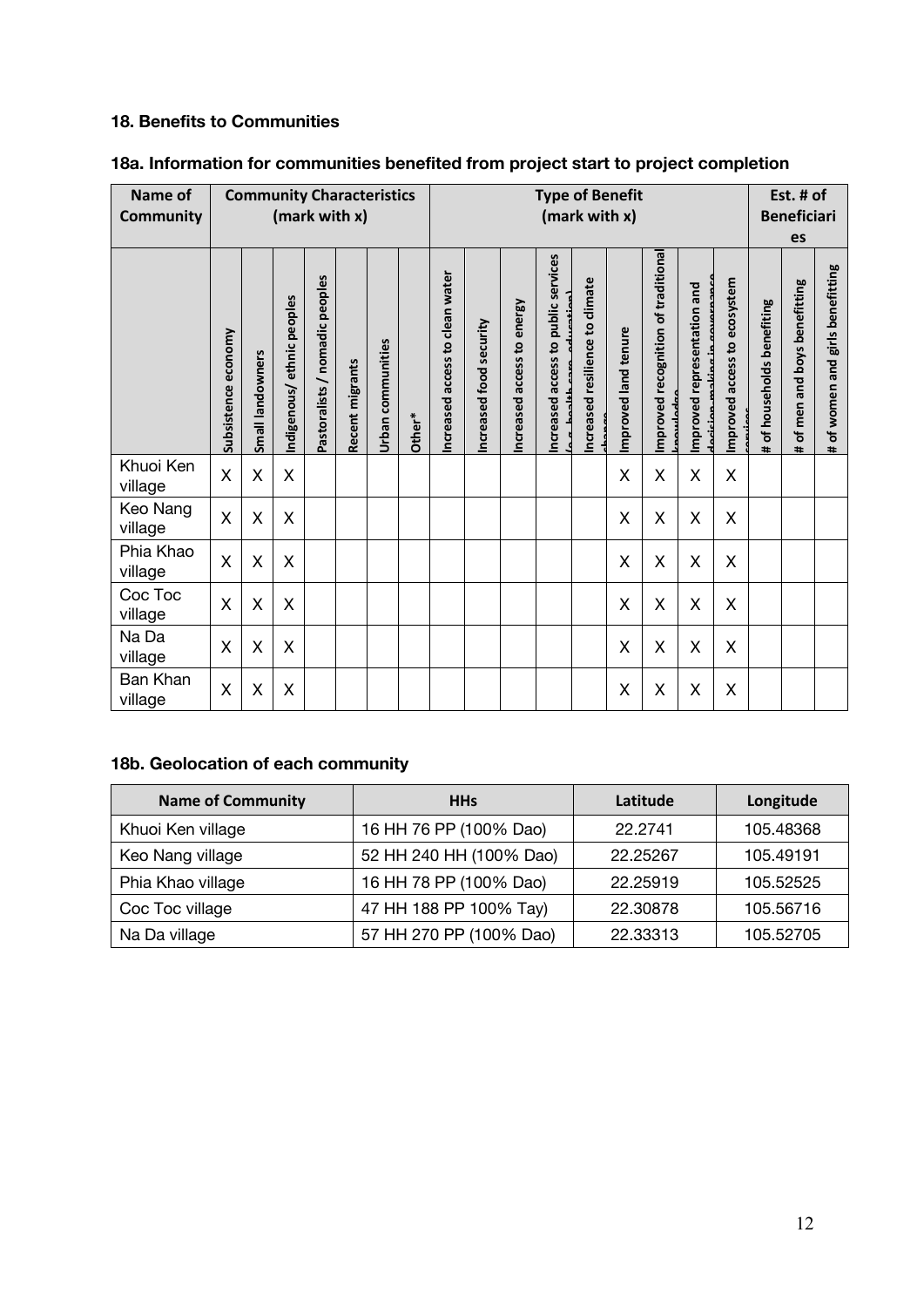# **18. Benefits to Communities**

| Name of              |                         | <b>Community Characteristics</b><br>Est. # of<br><b>Type of Benefit</b> |                           |                                |                 |                   |        |                                 |                         |                               |                                           |                                 |                      |                                                |                             |                              |                                       |                                          |                                     |
|----------------------|-------------------------|-------------------------------------------------------------------------|---------------------------|--------------------------------|-----------------|-------------------|--------|---------------------------------|-------------------------|-------------------------------|-------------------------------------------|---------------------------------|----------------------|------------------------------------------------|-----------------------------|------------------------------|---------------------------------------|------------------------------------------|-------------------------------------|
| <b>Community</b>     |                         | (mark with x)                                                           |                           |                                |                 |                   |        |                                 | (mark with x)           |                               |                                           |                                 |                      |                                                |                             |                              |                                       | <b>Beneficiari</b>                       |                                     |
|                      |                         |                                                                         |                           |                                |                 |                   |        |                                 |                         |                               |                                           |                                 |                      |                                                |                             |                              |                                       | es                                       |                                     |
|                      | Subsistence economy     | Small landowners                                                        | Indigenous/ethnic peoples | Pastoralists / nomadic peoples | Recent migrants | Urban communities | Other* | Increased access to clean water | Increased food security | energy<br>Increased access to | public services<br>access to<br>Increased | Increased resilience to climate | Improved land tenure | Improved recognition of traditional<br>سمساعطه | Improved representation and | Improved access to ecosystem | of households benefiting<br>$\ddot{}$ | of men and boys benefitting<br>$\ddot{}$ | girls benefitting<br># of women and |
| Khuoi Ken<br>village | $\sf X$                 | X                                                                       | X                         |                                |                 |                   |        |                                 |                         |                               |                                           |                                 | X                    | X                                              | Χ                           | X                            |                                       |                                          |                                     |
| Keo Nang<br>village  | $\overline{\mathsf{X}}$ | X                                                                       | X                         |                                |                 |                   |        |                                 |                         |                               |                                           |                                 | X                    | X                                              | X                           | X                            |                                       |                                          |                                     |
| Phia Khao<br>village | $\overline{\mathsf{X}}$ | X                                                                       | X                         |                                |                 |                   |        |                                 |                         |                               |                                           |                                 | X                    | X                                              | X                           | X                            |                                       |                                          |                                     |
| Coc Toc<br>village   | $\sf X$                 | X                                                                       | X                         |                                |                 |                   |        |                                 |                         |                               |                                           |                                 | Χ                    | X                                              | X                           | X                            |                                       |                                          |                                     |
| Na Da<br>village     | X                       | X                                                                       | X                         |                                |                 |                   |        |                                 |                         |                               |                                           |                                 | X                    | X                                              | X                           | X                            |                                       |                                          |                                     |
| Ban Khan<br>village  | X                       | X                                                                       | Χ                         |                                |                 |                   |        |                                 |                         |                               |                                           |                                 | X                    | Χ                                              | Χ                           | X                            |                                       |                                          |                                     |

# **18a. Information for communities benefited from project start to project completion**

# **18b. Geolocation of each community**

| <b>Name of Community</b> | <b>HHs</b>              | Latitude | Longitude |
|--------------------------|-------------------------|----------|-----------|
| Khuoi Ken village        | 16 HH 76 PP (100% Dao)  | 22.2741  | 105.48368 |
| Keo Nang village         | 52 HH 240 HH (100% Dao) | 22.25267 | 105.49191 |
| Phia Khao village        | 16 HH 78 PP (100% Dao)  | 22.25919 | 105.52525 |
| Coc Toc village          | 47 HH 188 PP 100% Tay)  | 22.30878 | 105.56716 |
| Na Da village            | 57 HH 270 PP (100% Dao) | 22.33313 | 105.52705 |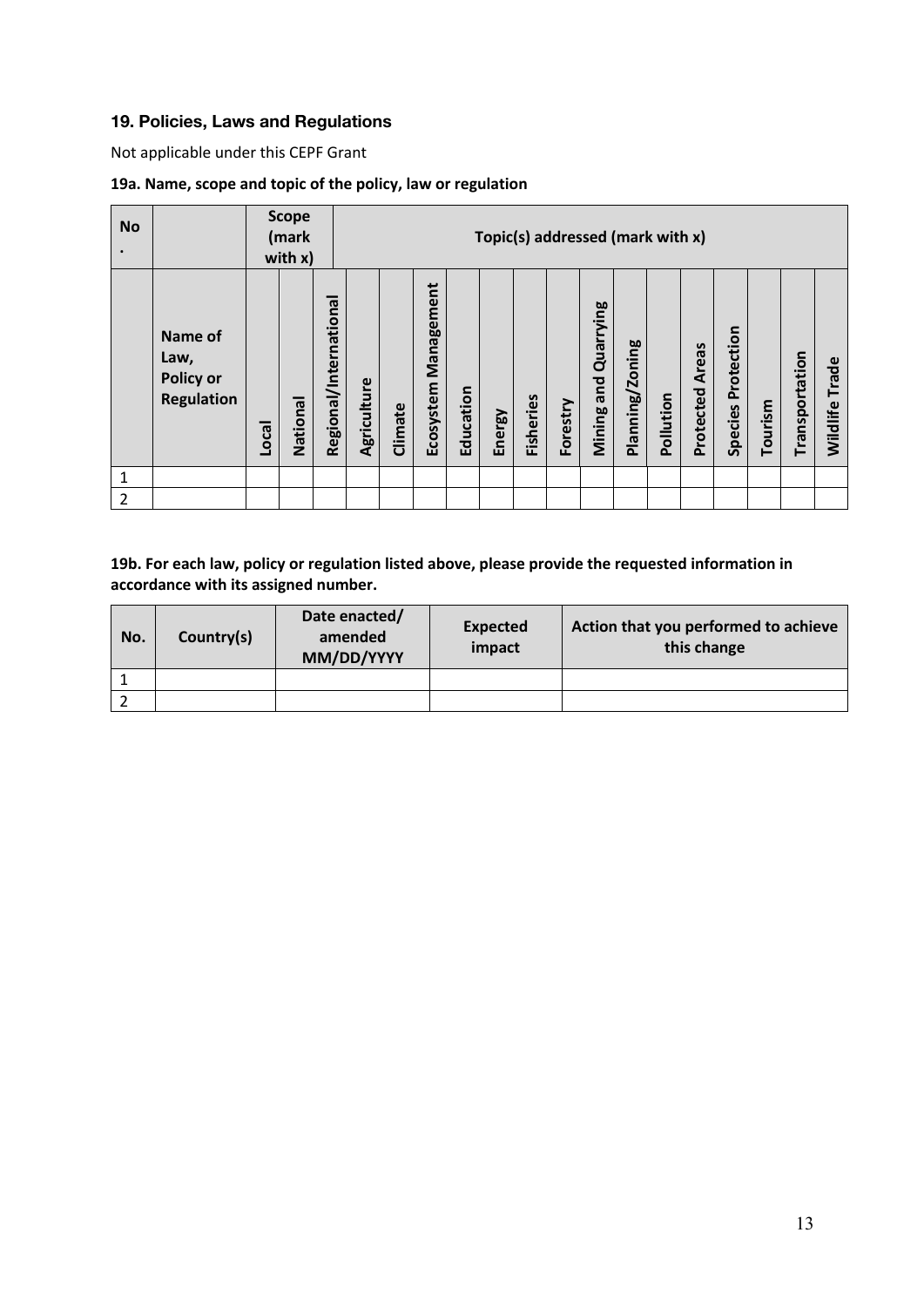## **19. Policies, Laws and Regulations**

Not applicable under this CEPF Grant

#### **19a. Name, scope and topic of the policy, law or regulation**

| <b>No</b> |                                                          |       | <b>Scope</b><br>(mark<br>with $x$ ) |                        | Topic(s) addressed (mark with x) |         |                         |           |        |           |          |                                   |                 |           |                           |                       |         |                |                |
|-----------|----------------------------------------------------------|-------|-------------------------------------|------------------------|----------------------------------|---------|-------------------------|-----------|--------|-----------|----------|-----------------------------------|-----------------|-----------|---------------------------|-----------------------|---------|----------------|----------------|
|           | Name of<br>Law,<br><b>Policy or</b><br><b>Regulation</b> | Local | National                            | Regional/International | Agriculture                      | Climate | Management<br>Ecosystem | Education | Energy | Fisheries | Forestry | Quarrying<br>and<br><b>Mining</b> | Planning/Zoning | Pollution | <b>Areas</b><br>Protected | Protection<br>Species | Tourism | Transportation | Wildlife Trade |
| 1         |                                                          |       |                                     |                        |                                  |         |                         |           |        |           |          |                                   |                 |           |                           |                       |         |                |                |
| 2         |                                                          |       |                                     |                        |                                  |         |                         |           |        |           |          |                                   |                 |           |                           |                       |         |                |                |

#### **19b. For each law, policy or regulation listed above, please provide the requested information in accordance with its assigned number.**

| No. | Country(s) | Date enacted/<br>amended<br>MM/DD/YYYY | <b>Expected</b><br>impact | Action that you performed to achieve<br>this change |
|-----|------------|----------------------------------------|---------------------------|-----------------------------------------------------|
|     |            |                                        |                           |                                                     |
|     |            |                                        |                           |                                                     |